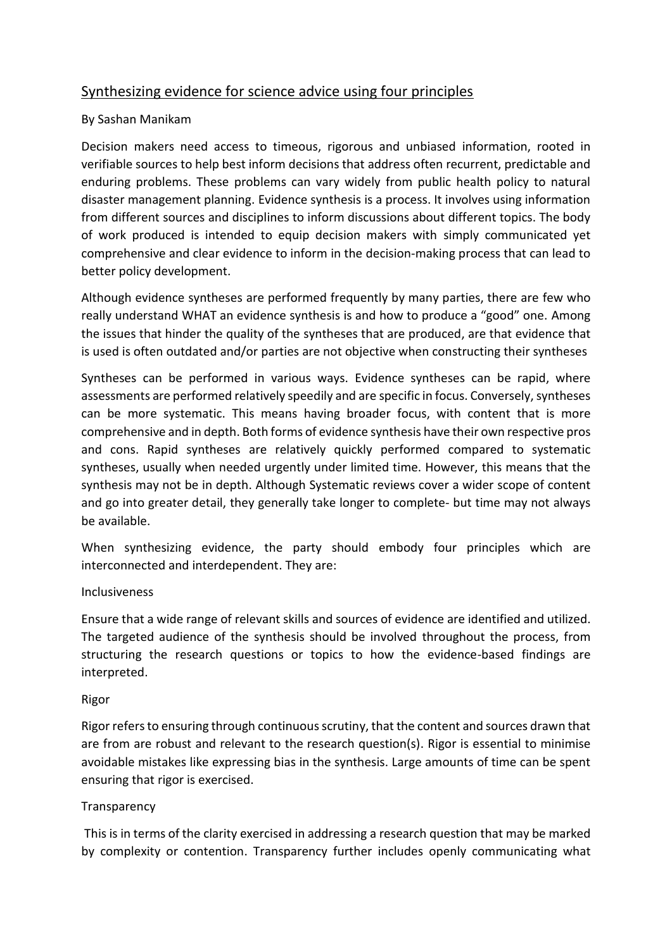# Synthesizing evidence for science advice using four principles

### By Sashan Manikam

Decision makers need access to timeous, rigorous and unbiased information, rooted in verifiable sources to help best inform decisions that address often recurrent, predictable and enduring problems. These problems can vary widely from public health policy to natural disaster management planning. Evidence synthesis is a process. It involves using information from different sources and disciplines to inform discussions about different topics. The body of work produced is intended to equip decision makers with simply communicated yet comprehensive and clear evidence to inform in the decision-making process that can lead to better policy development.

Although evidence syntheses are performed frequently by many parties, there are few who really understand WHAT an evidence synthesis is and how to produce a "good" one. Among the issues that hinder the quality of the syntheses that are produced, are that evidence that is used is often outdated and/or parties are not objective when constructing their syntheses

Syntheses can be performed in various ways. Evidence syntheses can be rapid, where assessments are performed relatively speedily and are specific in focus. Conversely, syntheses can be more systematic. This means having broader focus, with content that is more comprehensive and in depth. Both forms of evidence synthesis have their own respective pros and cons. Rapid syntheses are relatively quickly performed compared to systematic syntheses, usually when needed urgently under limited time. However, this means that the synthesis may not be in depth. Although Systematic reviews cover a wider scope of content and go into greater detail, they generally take longer to complete- but time may not always be available.

When synthesizing evidence, the party should embody four principles which are interconnected and interdependent. They are:

### Inclusiveness

Ensure that a wide range of relevant skills and sources of evidence are identified and utilized. The targeted audience of the synthesis should be involved throughout the process, from structuring the research questions or topics to how the evidence-based findings are interpreted.

#### Rigor

Rigor refers to ensuring through continuous scrutiny, that the content and sources drawn that are from are robust and relevant to the research question(s). Rigor is essential to minimise avoidable mistakes like expressing bias in the synthesis. Large amounts of time can be spent ensuring that rigor is exercised.

### Transparency

This is in terms of the clarity exercised in addressing a research question that may be marked by complexity or contention. Transparency further includes openly communicating what